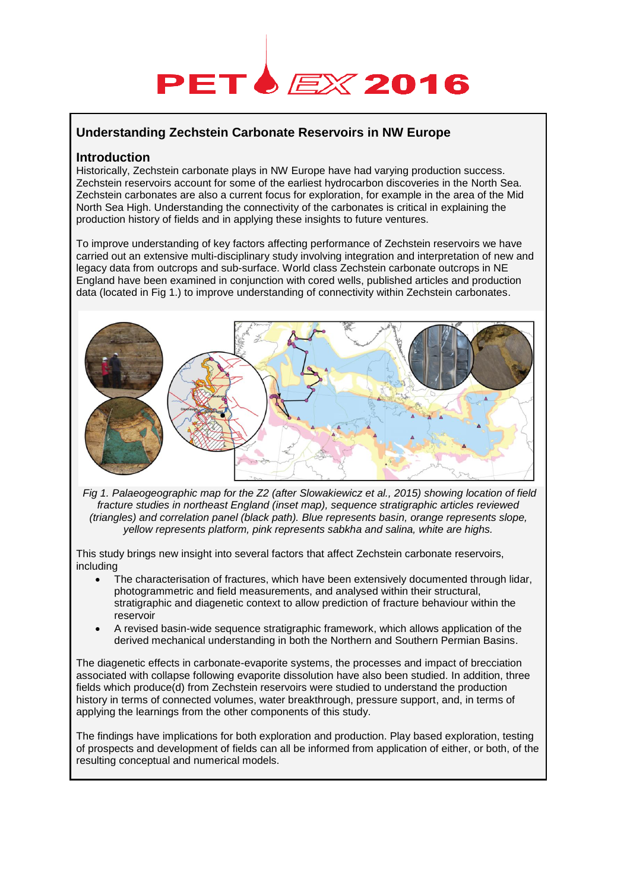# **PET** *EX* 2016

## **Understanding Zechstein Carbonate Reservoirs in NW Europe**

## **Introduction**

Historically, Zechstein carbonate plays in NW Europe have had varying production success. Zechstein reservoirs account for some of the earliest hydrocarbon discoveries in the North Sea. Zechstein carbonates are also a current focus for exploration, for example in the area of the Mid North Sea High. Understanding the connectivity of the carbonates is critical in explaining the production history of fields and in applying these insights to future ventures.

To improve understanding of key factors affecting performance of Zechstein reservoirs we have carried out an extensive multi-disciplinary study involving integration and interpretation of new and legacy data from outcrops and sub-surface. World class Zechstein carbonate outcrops in NE England have been examined in conjunction with cored wells, published articles and production data (located in Fig 1.) to improve understanding of connectivity within Zechstein carbonates.



*Fig 1. Palaeogeographic map for the Z2 (after Slowakiewicz et al., 2015) showing location of field fracture studies in northeast England (inset map), sequence stratigraphic articles reviewed (triangles) and correlation panel (black path). Blue represents basin, orange represents slope, yellow represents platform, pink represents sabkha and salina, white are highs.*

This study brings new insight into several factors that affect Zechstein carbonate reservoirs, including

- The characterisation of fractures, which have been extensively documented through lidar, photogrammetric and field measurements, and analysed within their structural, stratigraphic and diagenetic context to allow prediction of fracture behaviour within the reservoir
- A revised basin-wide sequence stratigraphic framework, which allows application of the derived mechanical understanding in both the Northern and Southern Permian Basins.

The diagenetic effects in carbonate-evaporite systems, the processes and impact of brecciation associated with collapse following evaporite dissolution have also been studied. In addition, three fields which produce(d) from Zechstein reservoirs were studied to understand the production history in terms of connected volumes, water breakthrough, pressure support, and, in terms of applying the learnings from the other components of this study.

The findings have implications for both exploration and production. Play based exploration, testing of prospects and development of fields can all be informed from application of either, or both, of the resulting conceptual and numerical models.